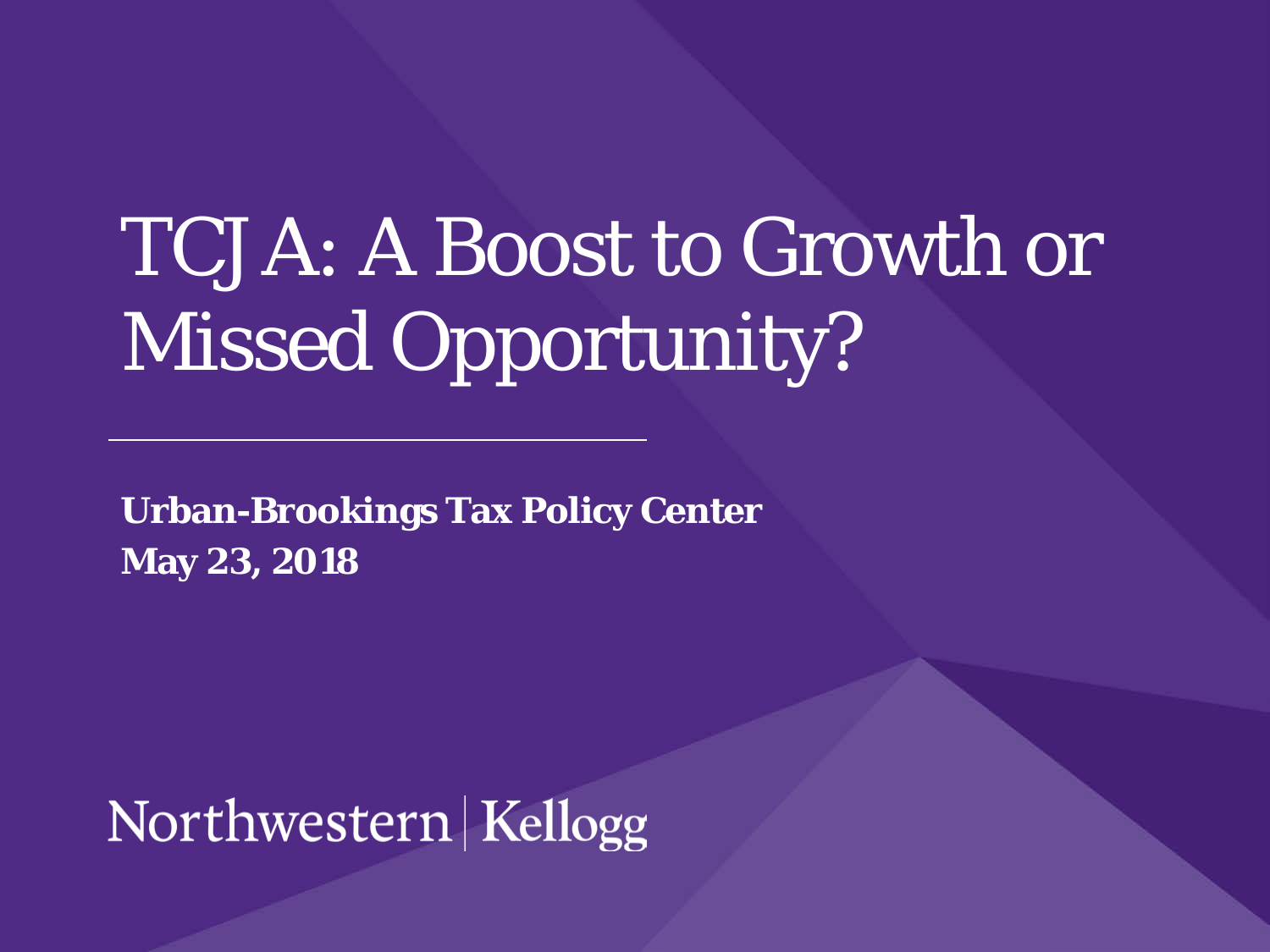# TCJA: A Boost to Growth or Missed Opportunity?

**Urban-Brookings Tax Policy Center May 23, 2018**

Northwestern Kellogg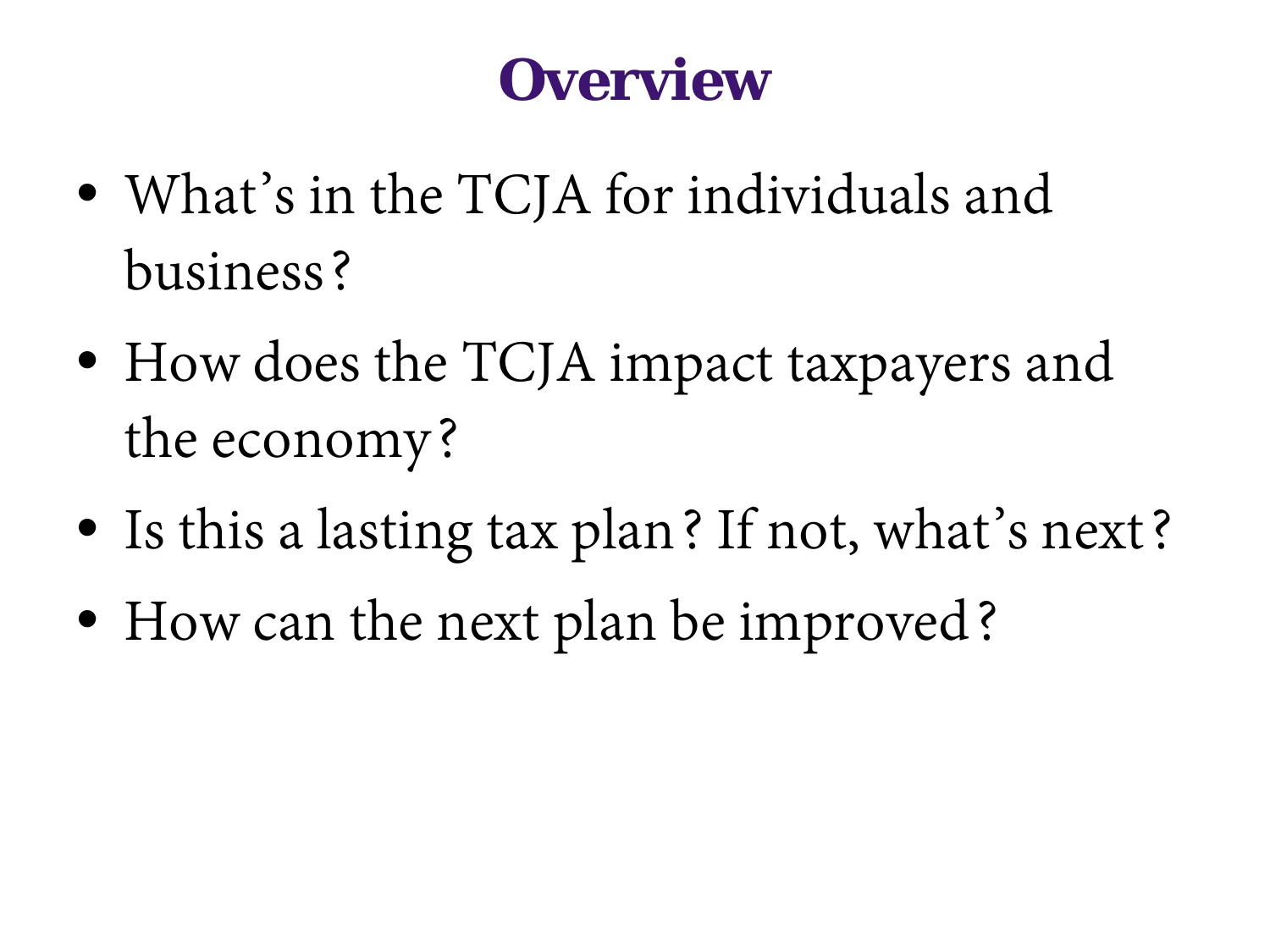#### **Overview**

- What's in the TCJA for individuals and business?
- How does the TCJA impact taxpayers and the economy?
- Is this a lasting tax plan? If not, what's next?
- How can the next plan be improved?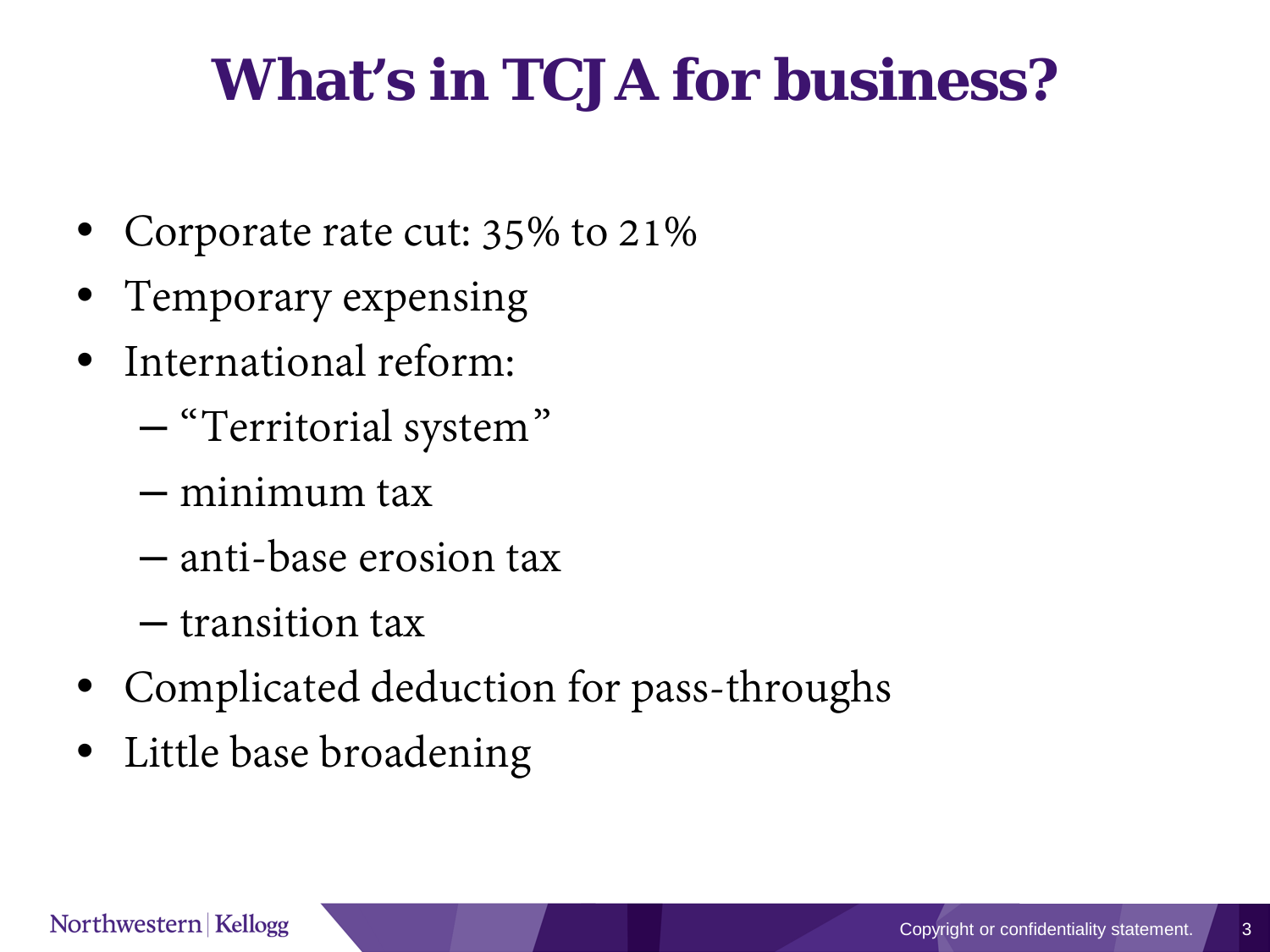# **What's in TCJA for business?**

- Corporate rate cut: 35% to 21%
- Temporary expensing
- International reform:
	- "Territorial system"
	- minimum tax
	- anti-base erosion tax
	- transition tax
- Complicated deduction for pass-throughs
- Little base broadening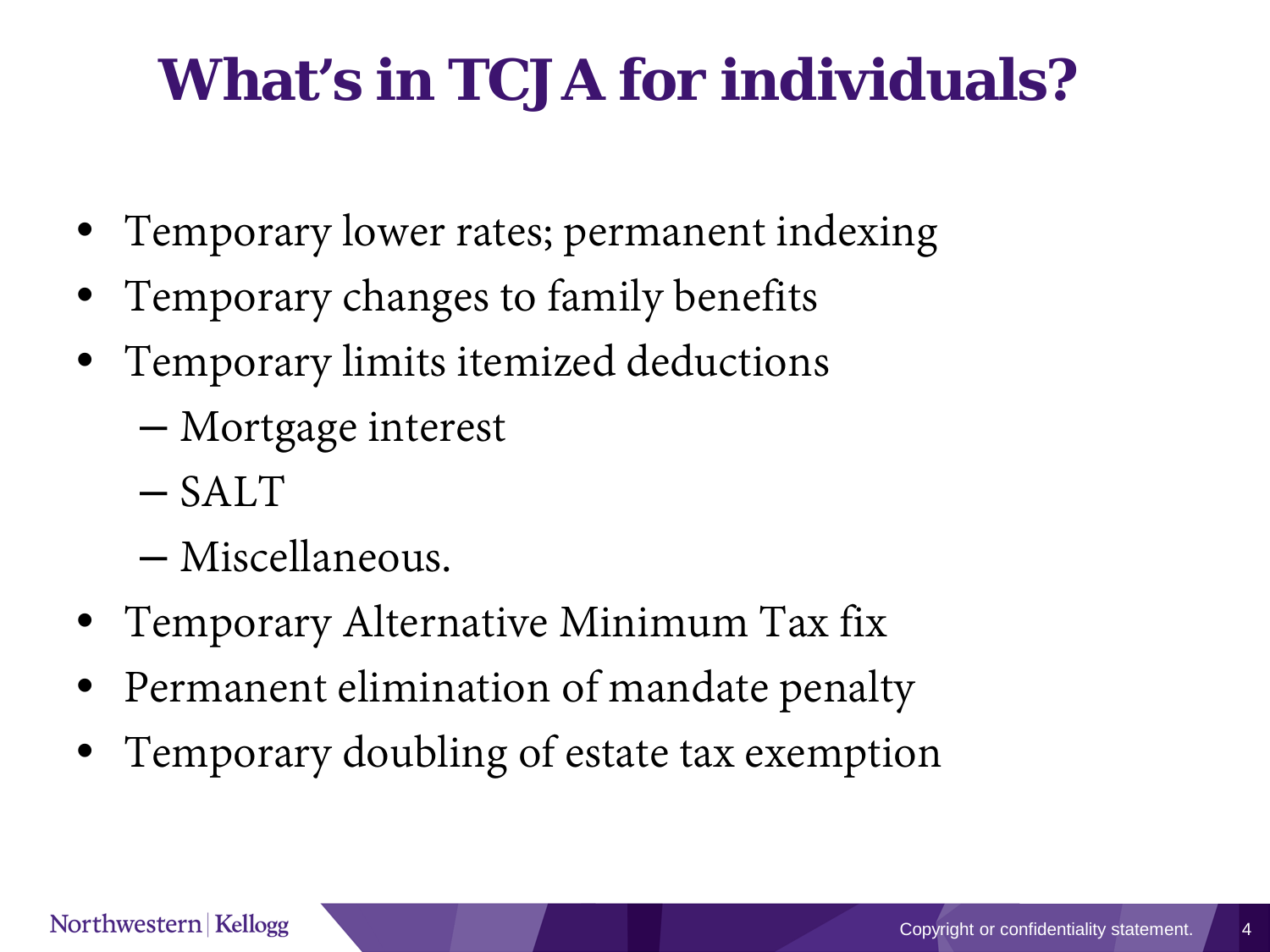# **What's in TCJA for individuals?**

- Temporary lower rates; permanent indexing
- Temporary changes to family benefits
- Temporary limits itemized deductions
	- Mortgage interest
	- SALT
	- Miscellaneous.
- Temporary Alternative Minimum Tax fix
- Permanent elimination of mandate penalty
- Temporary doubling of estate tax exemption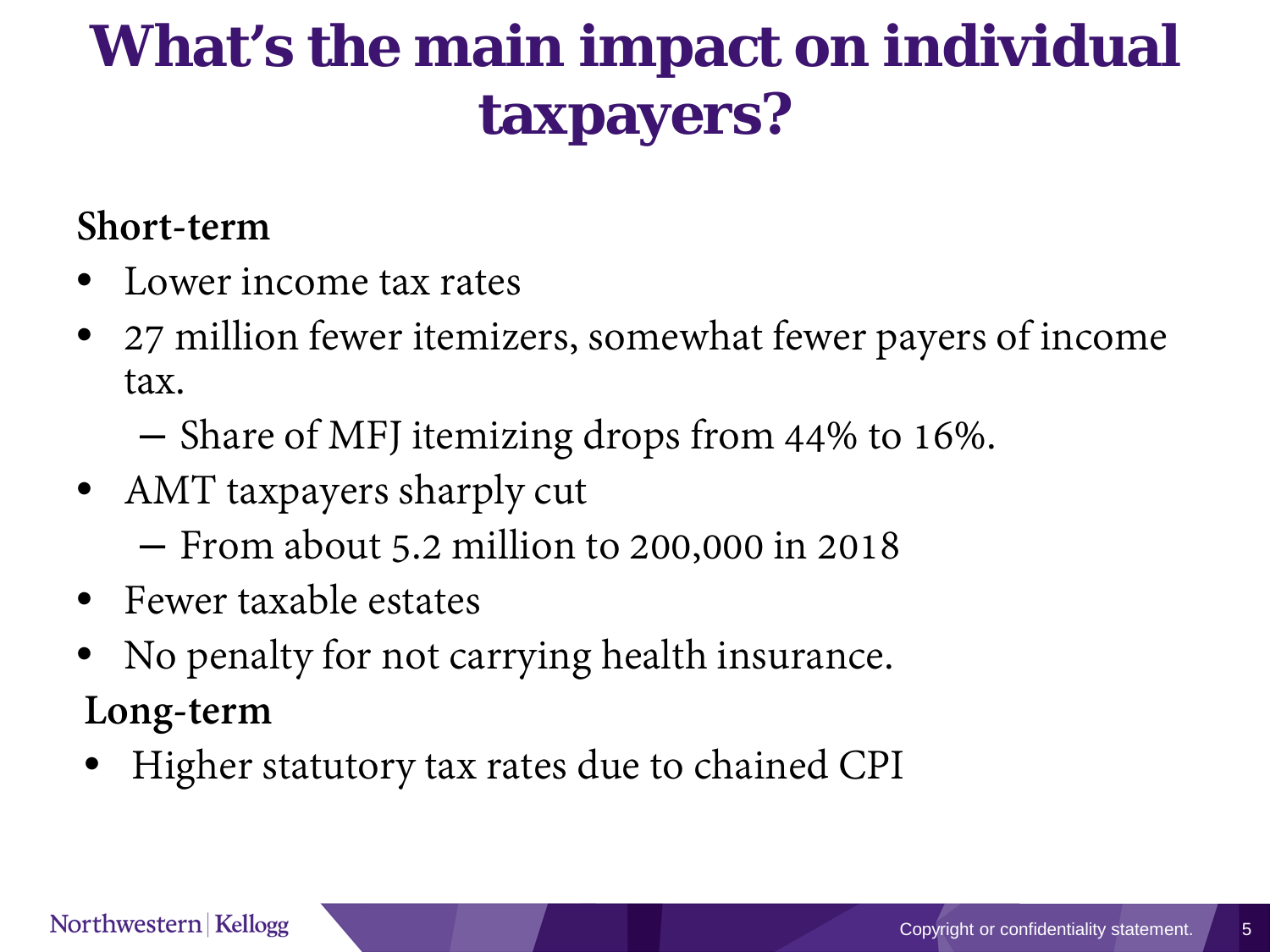# **What's the main impact on individual taxpayers?**

#### **Short-term**

- Lower income tax rates
- 27 million fewer itemizers, somewhat fewer payers of income tax.
	- Share of MFJ itemizing drops from 44% to 16%.
- AMT taxpayers sharply cut
	- From about 5.2 million to 200,000 in 2018
- Fewer taxable estates
- No penalty for not carrying health insurance.
- **Long-term**
- Higher statutory tax rates due to chained CPI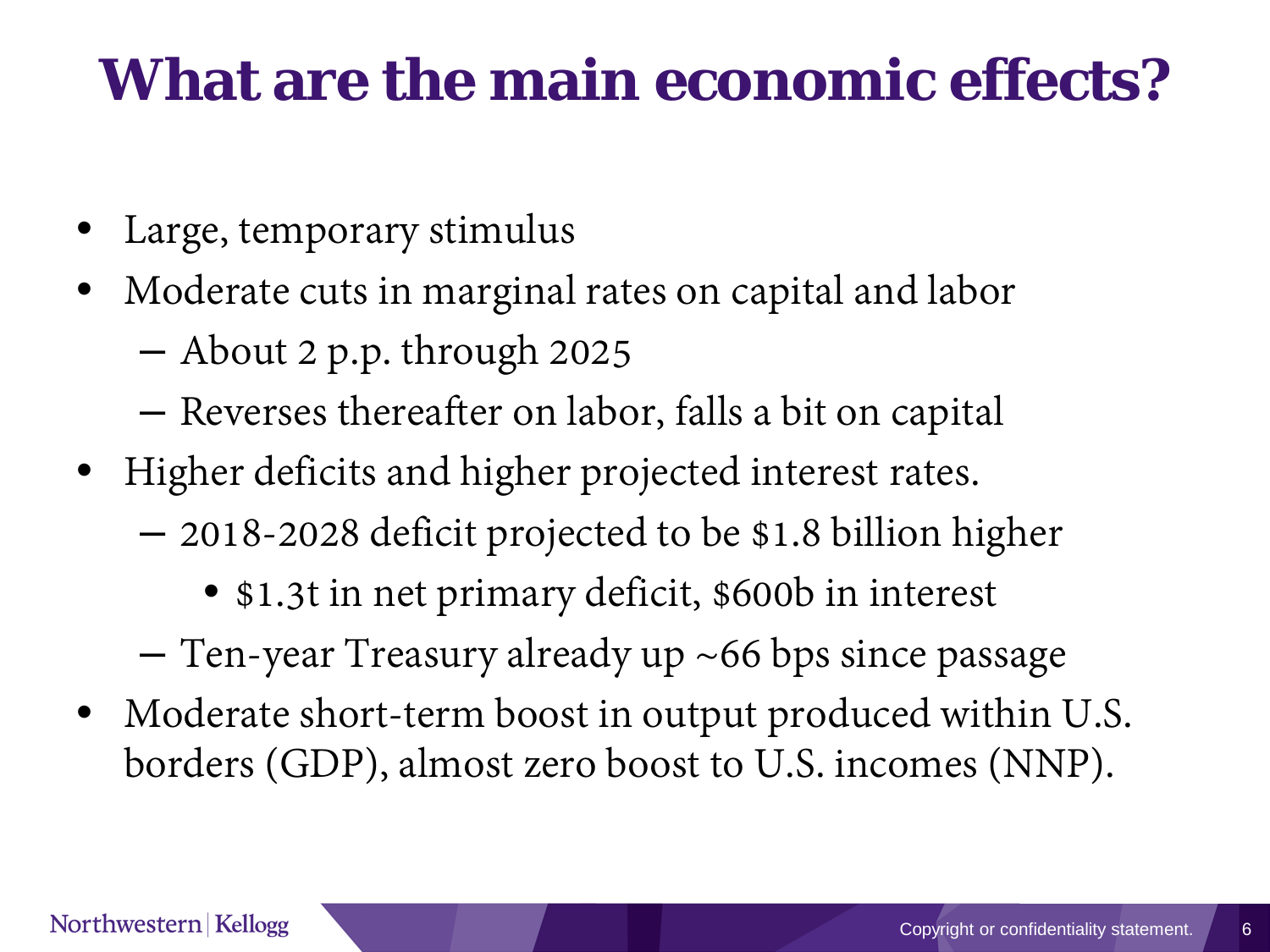#### **What are the main economic effects?**

- Large, temporary stimulus
- Moderate cuts in marginal rates on capital and labor
	- About 2 p.p. through 2025
	- Reverses thereafter on labor, falls a bit on capital
- Higher deficits and higher projected interest rates.
	- 2018-2028 deficit projected to be \$1.8 billion higher
		- \$1.3t in net primary deficit, \$600b in interest
	- Ten-year Treasury already up ~66 bps since passage
- Moderate short-term boost in output produced within U.S. borders (GDP), almost zero boost to U.S. incomes (NNP).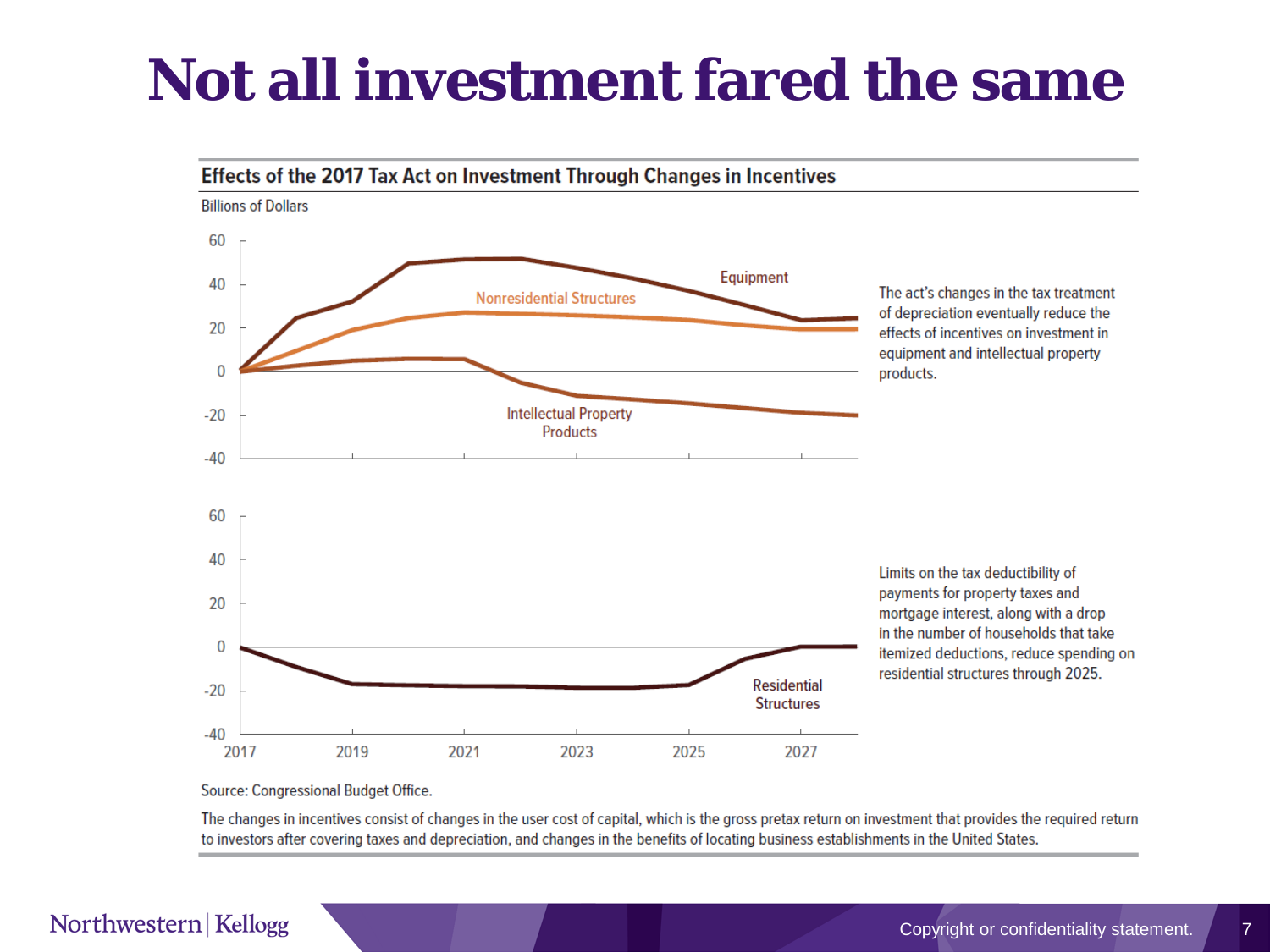#### **Not all investment fared the same**



Source: Congressional Budget Office.

The changes in incentives consist of changes in the user cost of capital, which is the gross pretax return on investment that provides the required return to investors after covering taxes and depreciation, and changes in the benefits of locating business establishments in the United States.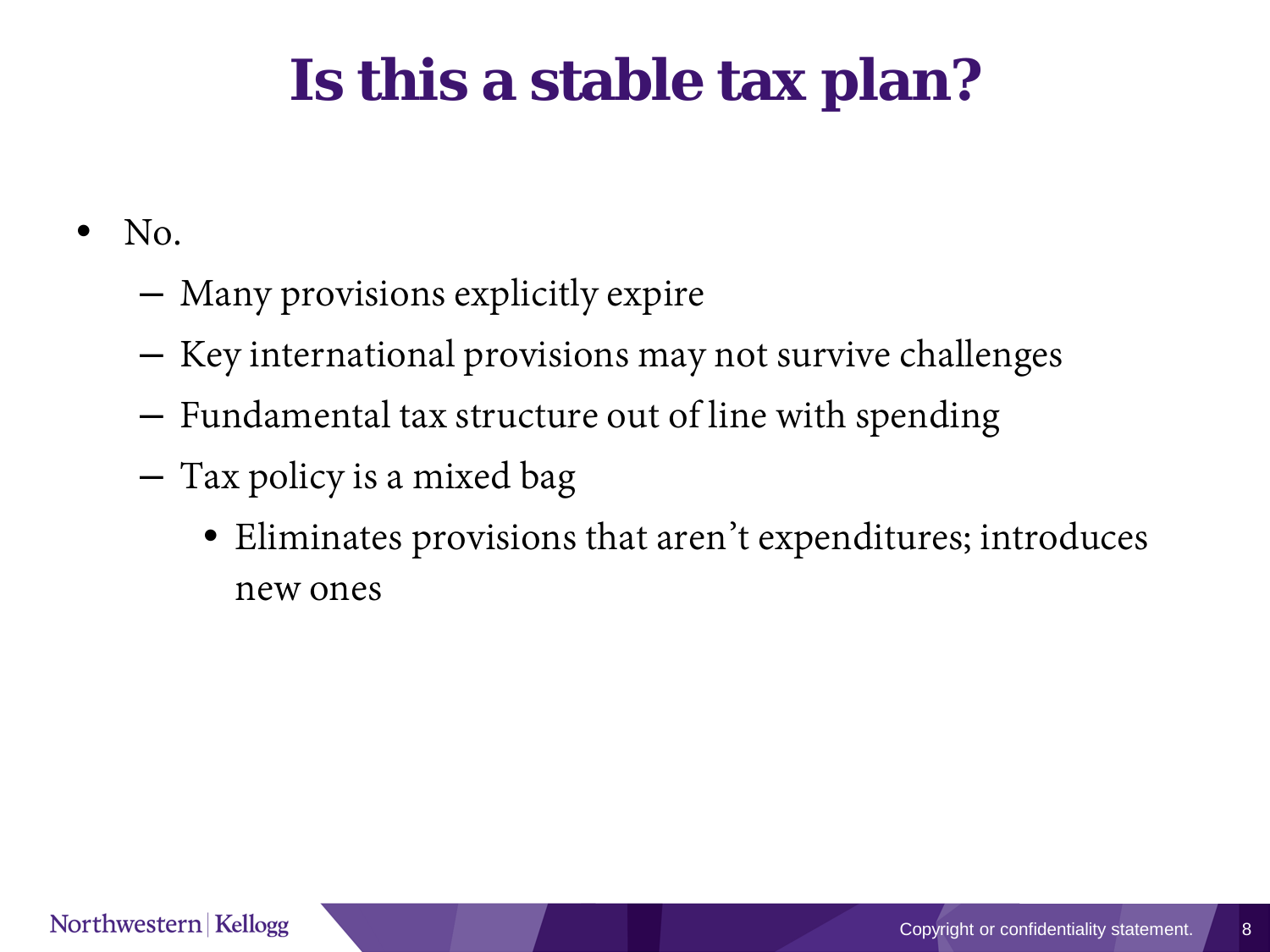# **Is this a stable tax plan?**

- $\bullet$  No.
	- Many provisions explicitly expire
	- Key international provisions may not survive challenges
	- Fundamental tax structure out of line with spending
	- Tax policy is a mixed bag
		- Eliminates provisions that aren't expenditures; introduces new ones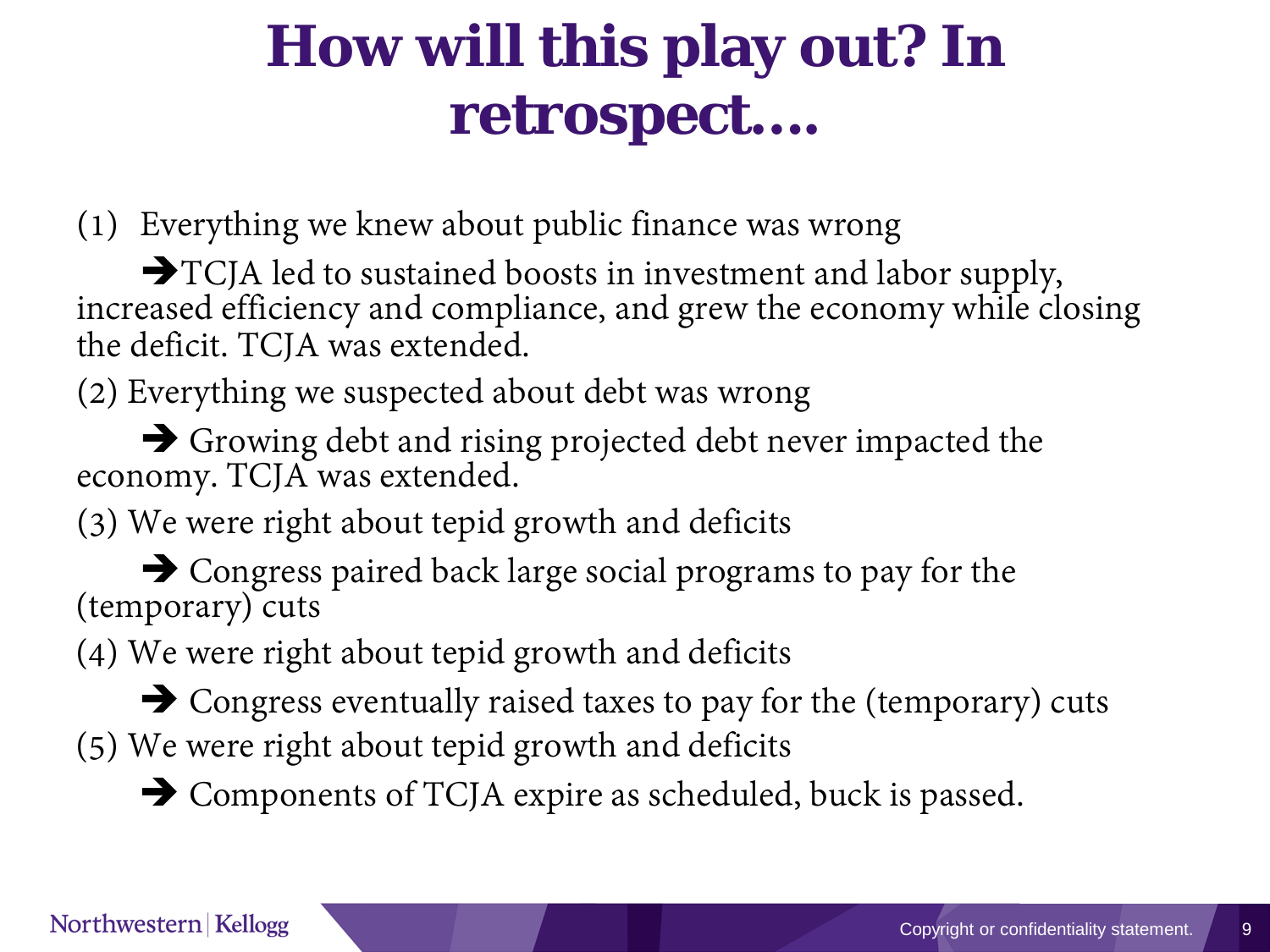## **How will this play out? In retrospect….**

(1) Everything we knew about public finance was wrong

 $\rightarrow$  TCJA led to sustained boosts in investment and labor supply, increased efficiency and compliance, and grew the economy while closing the deficit. TCJA was extended.

(2) Everything we suspected about debt was wrong

Growing debt and rising projected debt never impacted the economy. TCJA was extended.

(3) We were right about tepid growth and deficits

 $\rightarrow$  Congress paired back large social programs to pay for the (temporary) cuts

(4) We were right about tepid growth and deficits

 Congress eventually raised taxes to pay for the (temporary) cuts (5) We were right about tepid growth and deficits

 $\rightarrow$  Components of TCJA expire as scheduled, buck is passed.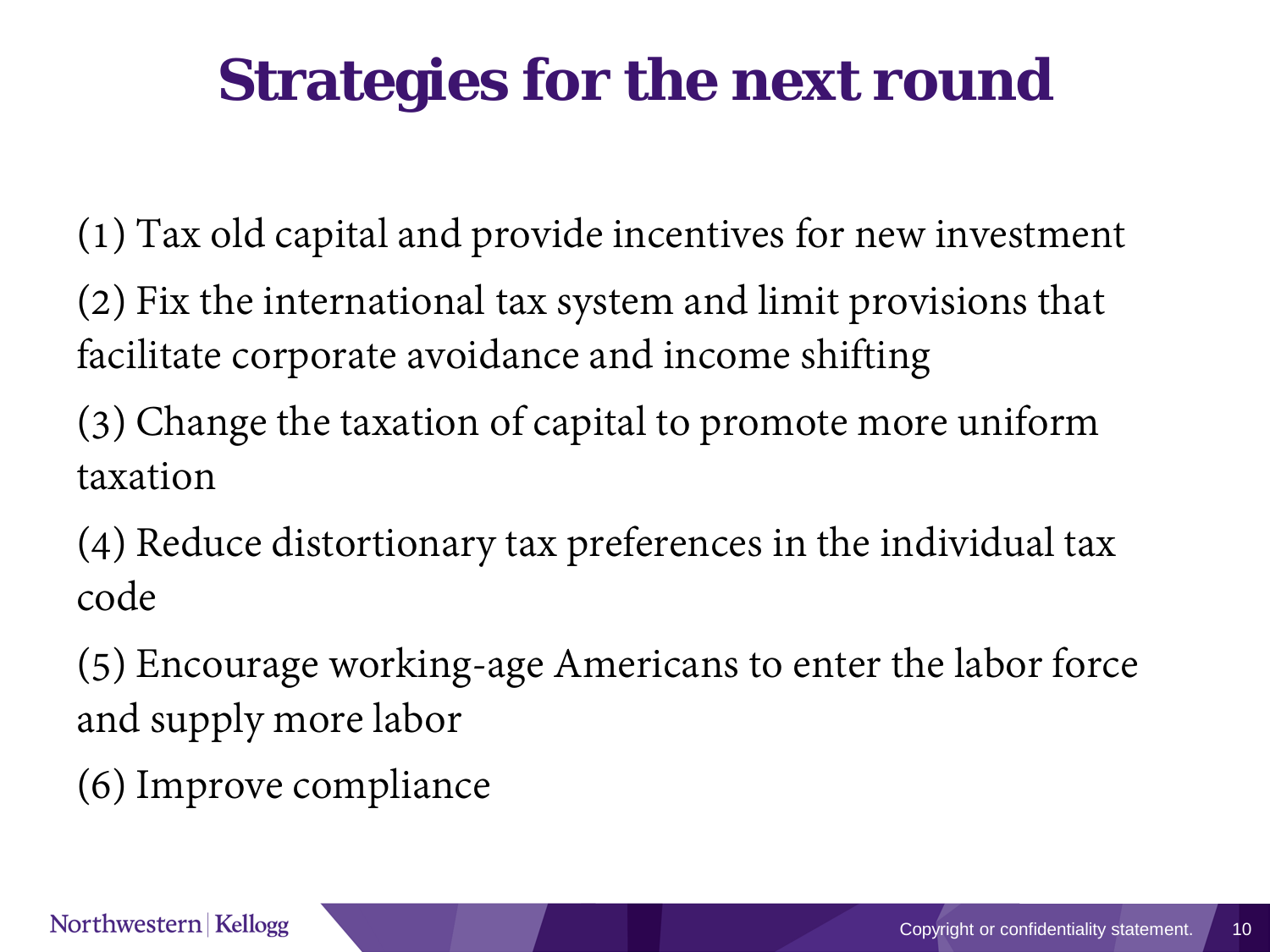# **Strategies for the next round**

(1) Tax old capital and provide incentives for new investment (2) Fix the international tax system and limit provisions that facilitate corporate avoidance and income shifting

(3) Change the taxation of capital to promote more uniform taxation

(4) Reduce distortionary tax preferences in the individual tax code

(5) Encourage working-age Americans to enter the labor force and supply more labor

(6) Improve compliance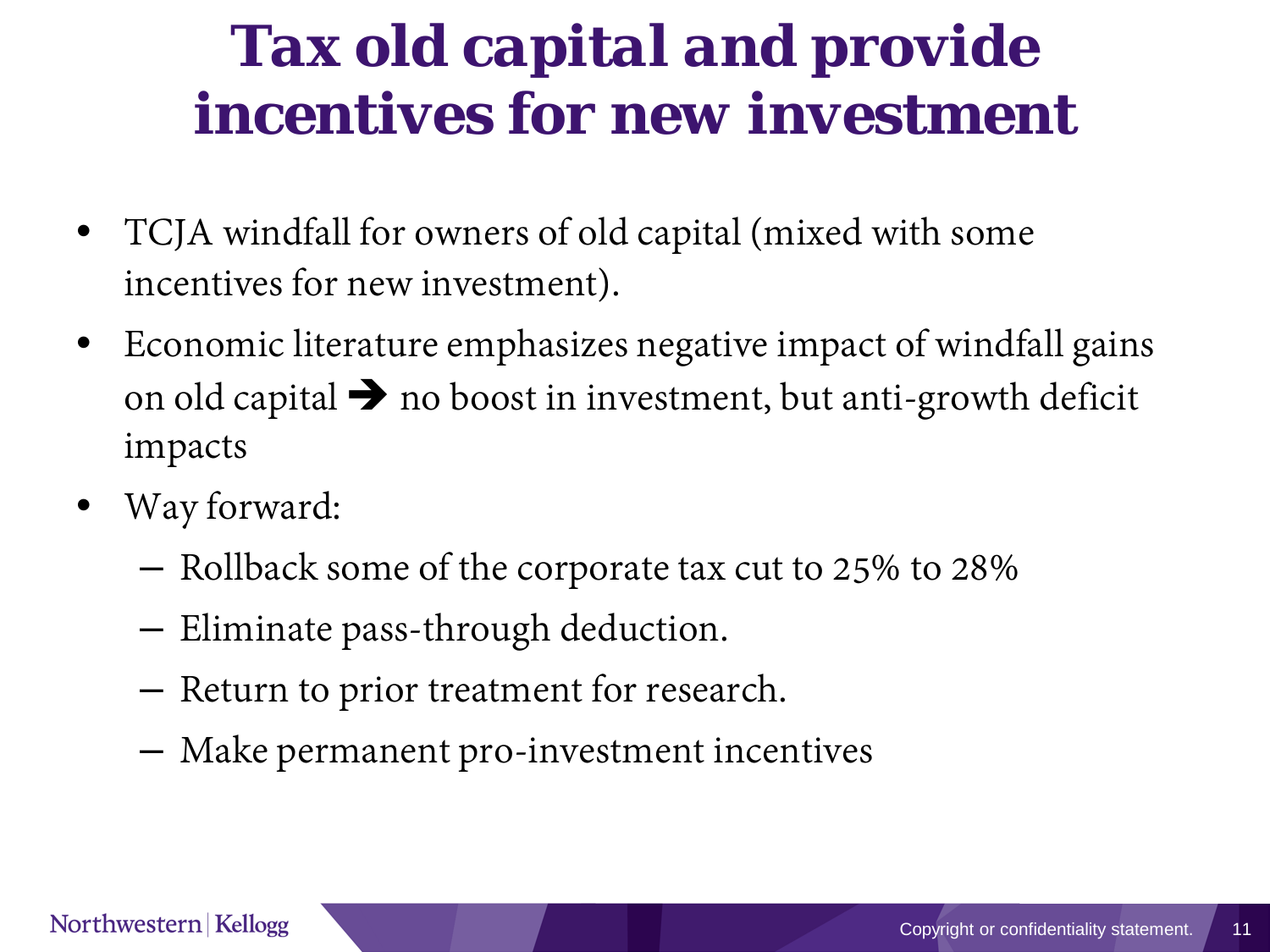#### *Tax old capital and provide incentives for new investment*

- TCJA windfall for owners of old capital (mixed with some incentives for new investment).
- Economic literature emphasizes negative impact of windfall gains on old capital  $\rightarrow$  no boost in investment, but anti-growth deficit impacts
- Way forward:
	- Rollback some of the corporate tax cut to 25% to 28%
	- Eliminate pass-through deduction.
	- Return to prior treatment for research.
	- Make permanent pro-investment incentives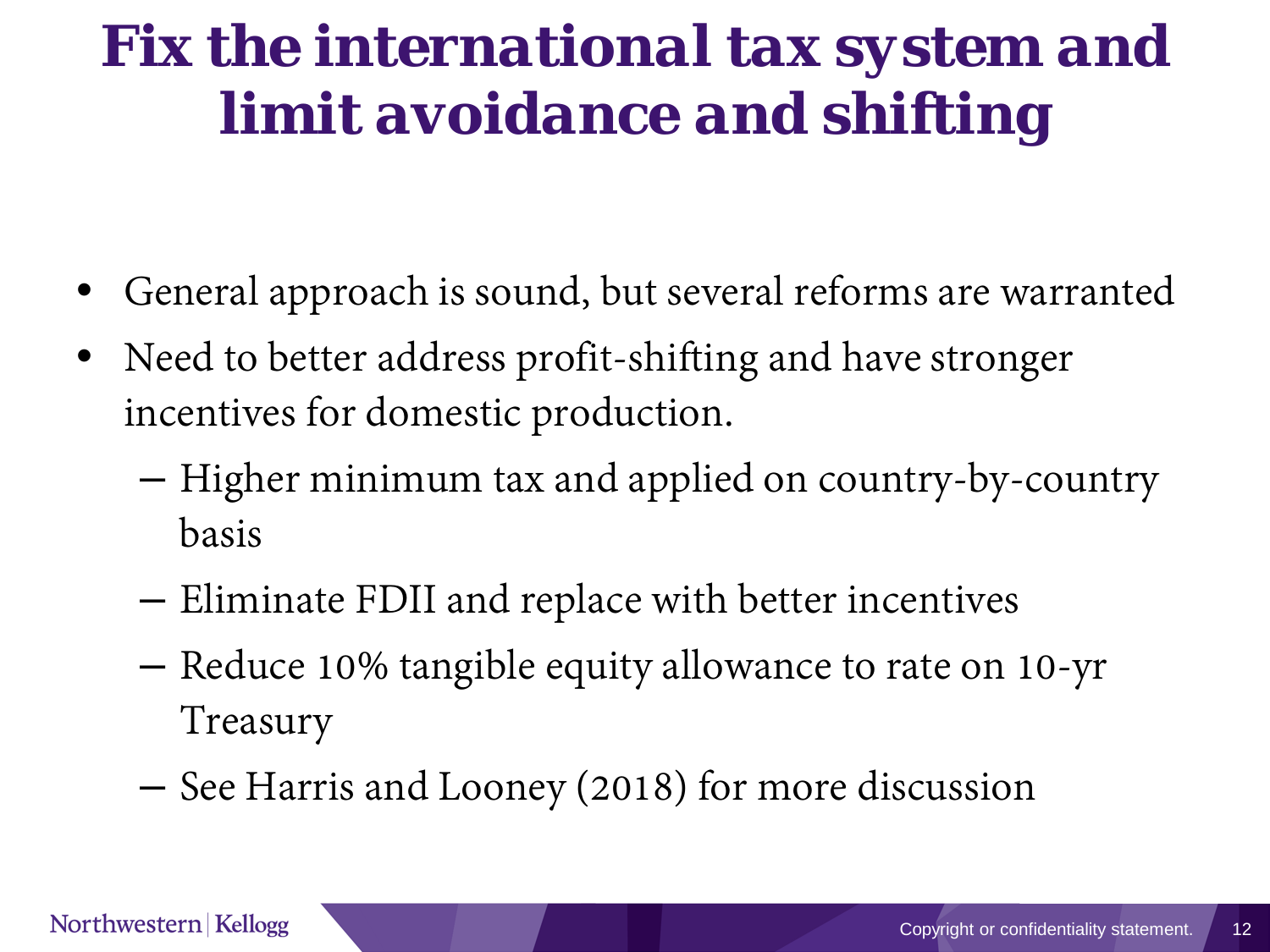# *Fix the international tax system and limit avoidance and shifting*

- General approach is sound, but several reforms are warranted
- Need to better address profit-shifting and have stronger incentives for domestic production.
	- Higher minimum tax and applied on country-by-country basis
	- Eliminate FDII and replace with better incentives
	- Reduce 10% tangible equity allowance to rate on 10-yr Treasury
	- See Harris and Looney (2018) for more discussion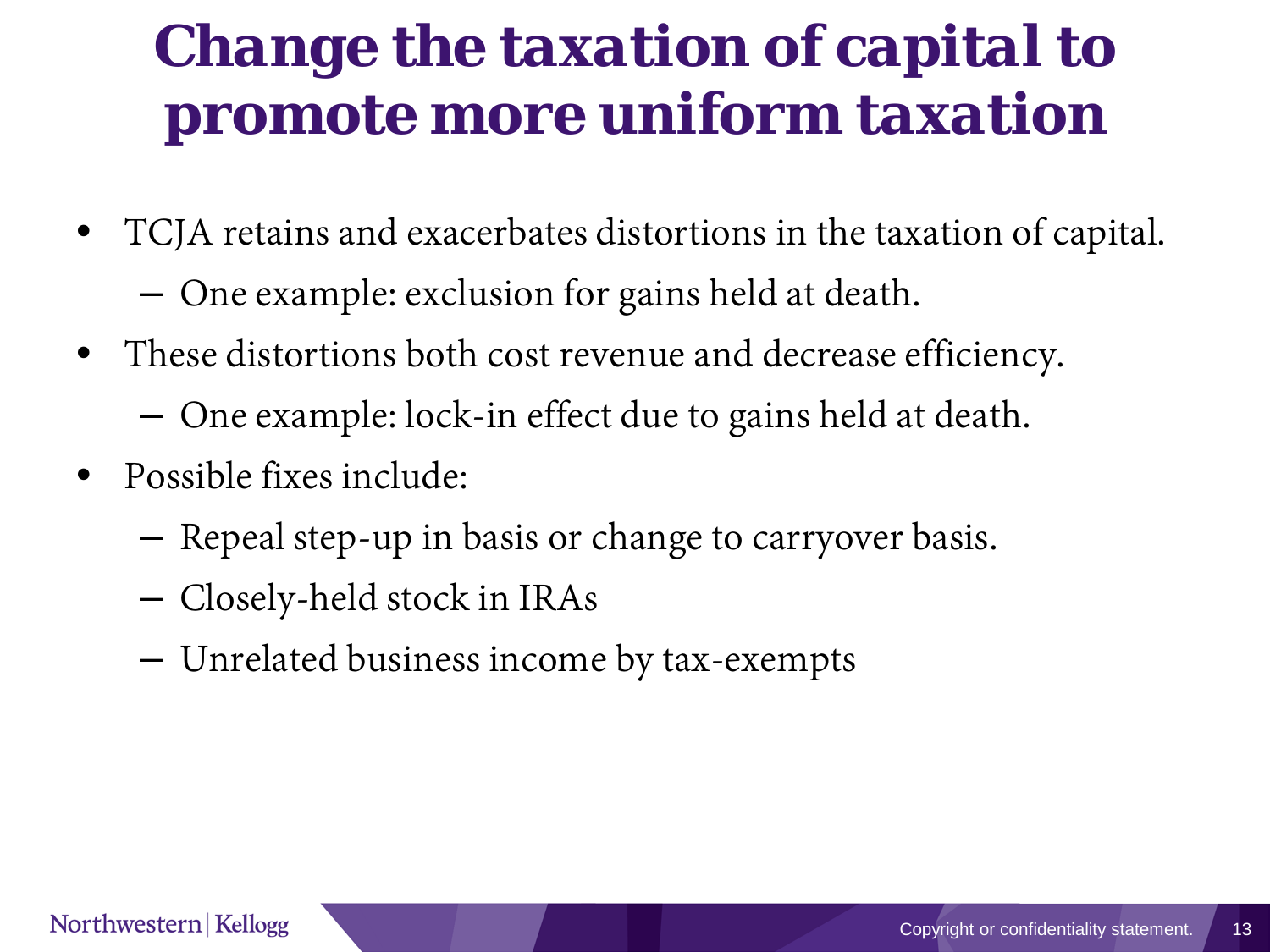### *Change the taxation of capital to promote more uniform taxation*

- TCJA retains and exacerbates distortions in the taxation of capital.
	- One example: exclusion for gains held at death.
- These distortions both cost revenue and decrease efficiency.
	- One example: lock-in effect due to gains held at death.
- Possible fixes include:
	- Repeal step-up in basis or change to carryover basis.
	- Closely-held stock in IRAs
	- Unrelated business income by tax-exempts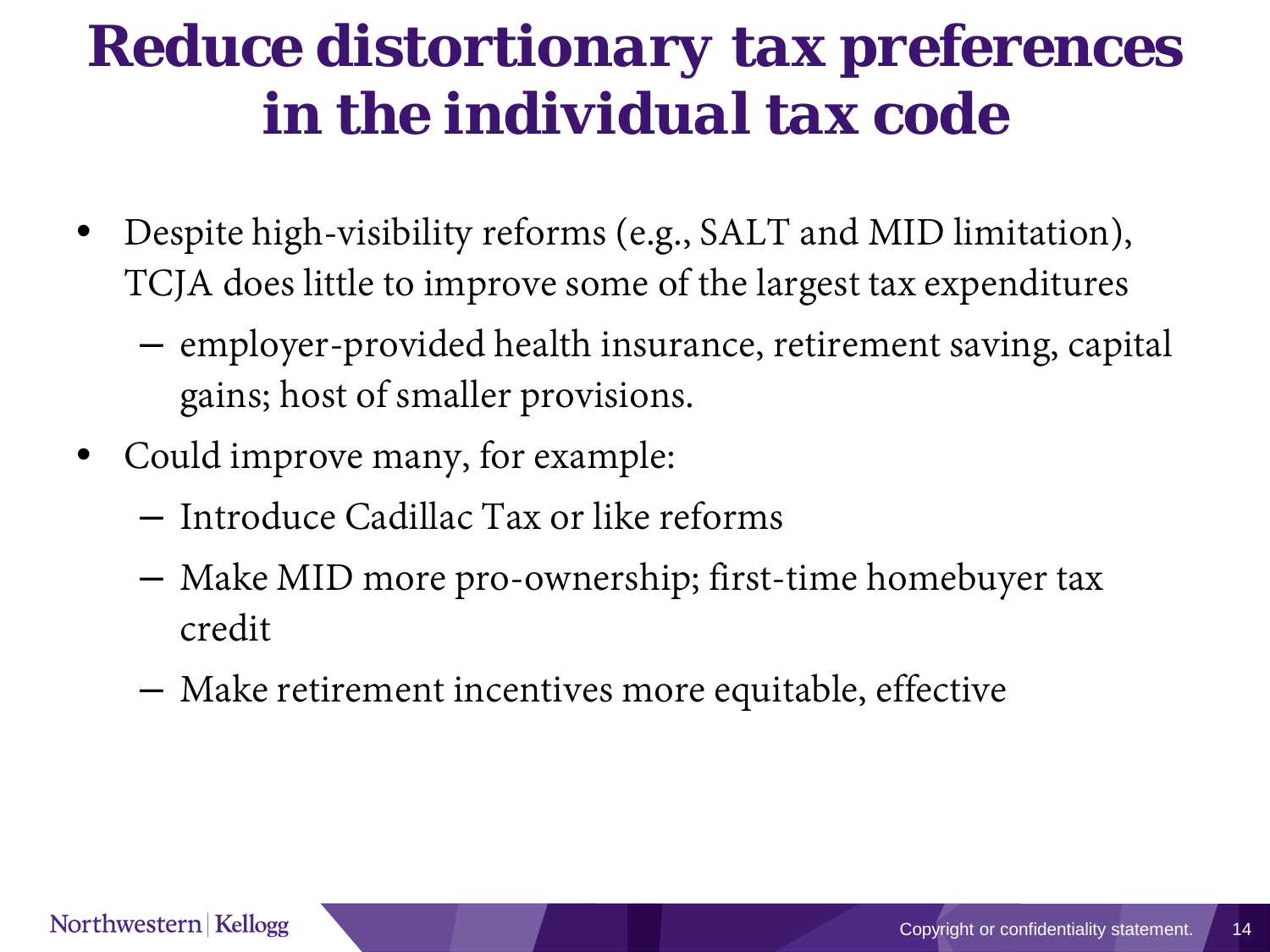#### *Reduce distortionary tax preferences in the individual tax code*

- Despite high-visibility reforms (e.g., SALT and MID limitation), TCJA does little to improve some of the largest tax expenditures
	- employer-provided health insurance, retirement saving, capital gains; host of smaller provisions.
- Could improve many, for example:
	- Introduce Cadillac Tax or like reforms
	- Make MID more pro-ownership; first-time homebuyer tax credit
	- Make retirement incentives more equitable, effective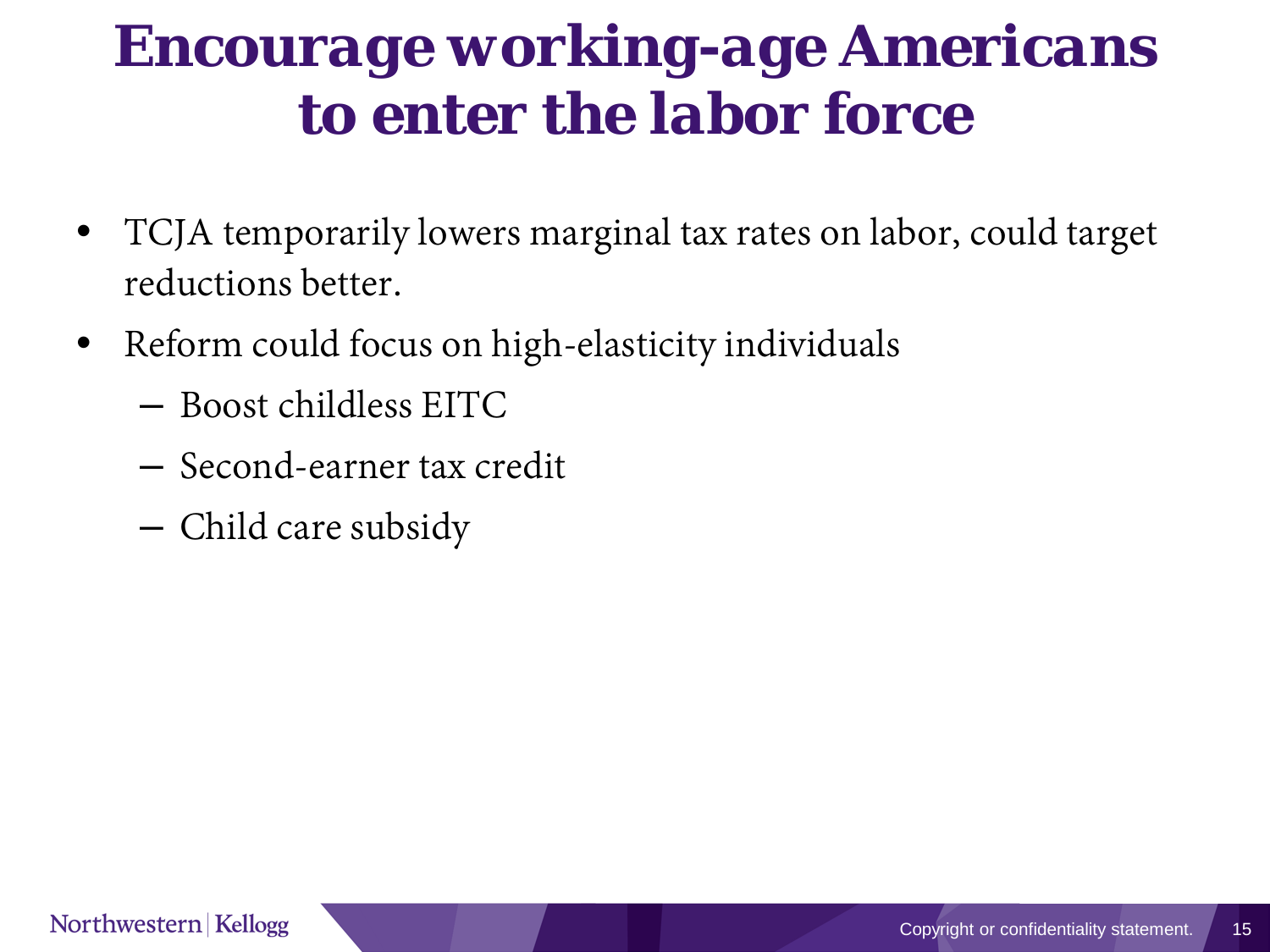#### *Encourage working-age Americans to enter the labor force*

- TCJA temporarily lowers marginal tax rates on labor, could target reductions better.
- Reform could focus on high-elasticity individuals
	- Boost childless EITC
	- Second-earner tax credit
	- Child care subsidy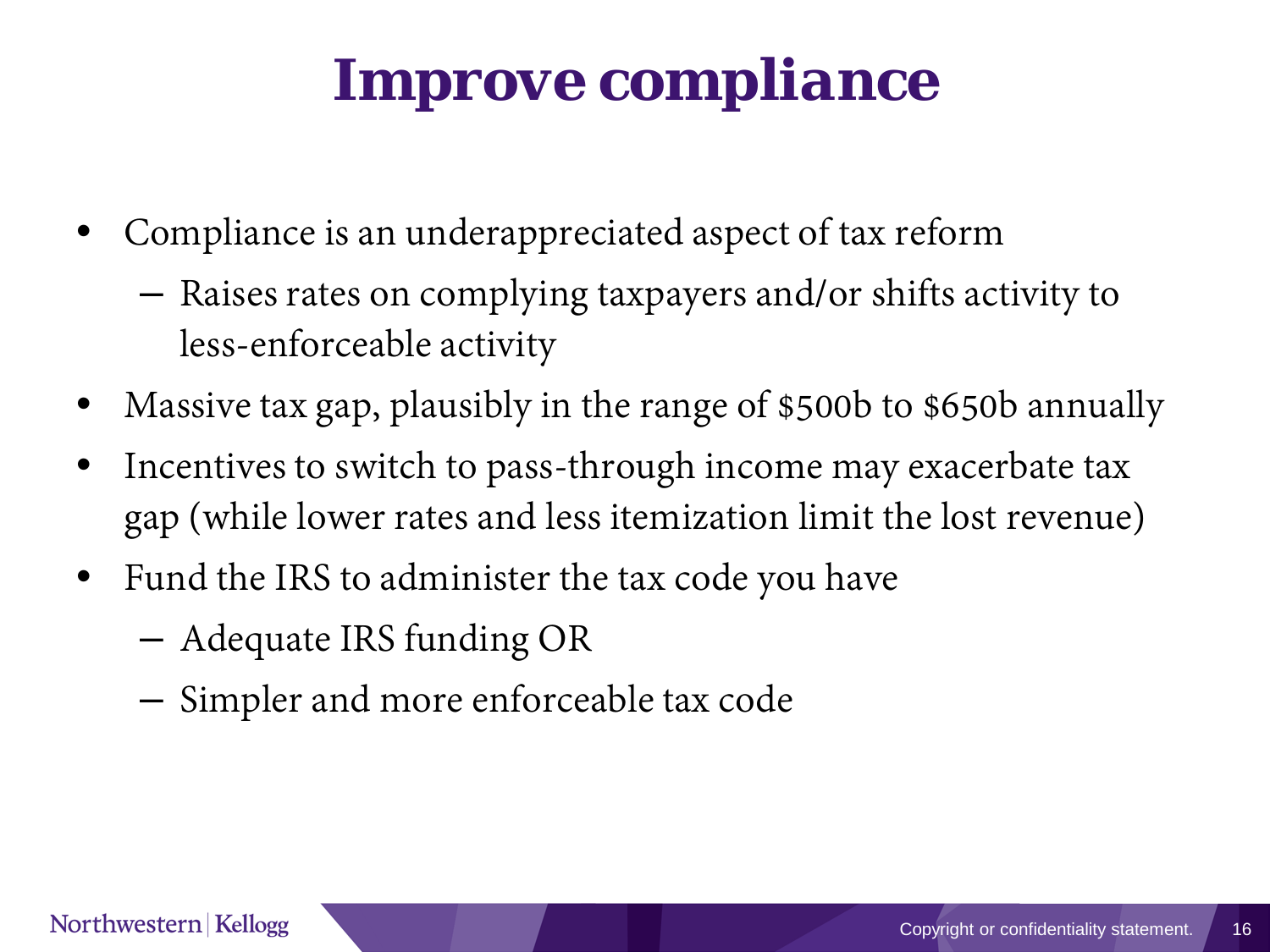#### *Improve compliance*

- Compliance is an underappreciated aspect of tax reform
	- Raises rates on complying taxpayers and/or shifts activity to less-enforceable activity
- Massive tax gap, plausibly in the range of \$500b to \$650b annually
- Incentives to switch to pass-through income may exacerbate tax gap (while lower rates and less itemization limit the lost revenue)
- Fund the IRS to administer the tax code you have
	- Adequate IRS funding OR
	- Simpler and more enforceable tax code